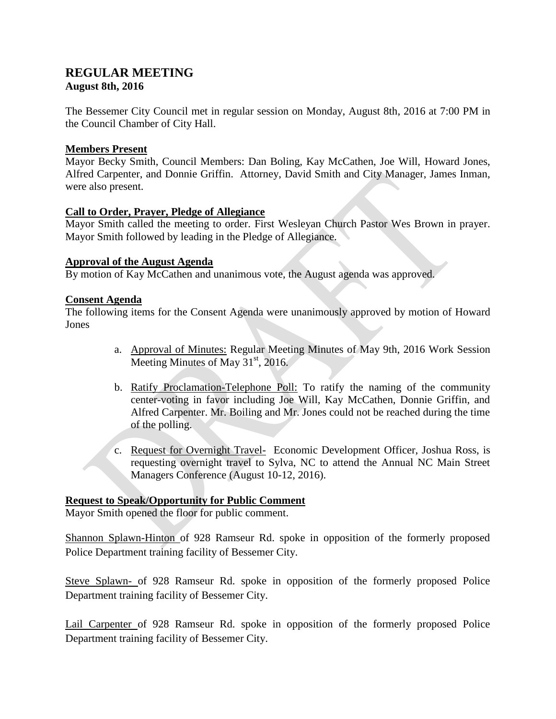# **REGULAR MEETING August 8th, 2016**

The Bessemer City Council met in regular session on Monday, August 8th, 2016 at 7:00 PM in the Council Chamber of City Hall.

## **Members Present**

Mayor Becky Smith, Council Members: Dan Boling, Kay McCathen, Joe Will, Howard Jones, Alfred Carpenter, and Donnie Griffin. Attorney, David Smith and City Manager, James Inman, were also present.

#### **Call to Order, Prayer, Pledge of Allegiance**

Mayor Smith called the meeting to order. First Wesleyan Church Pastor Wes Brown in prayer. Mayor Smith followed by leading in the Pledge of Allegiance.

#### **Approval of the August Agenda**

By motion of Kay McCathen and unanimous vote, the August agenda was approved.

## **Consent Agenda**

The following items for the Consent Agenda were unanimously approved by motion of Howard Jones

- a. Approval of Minutes: Regular Meeting Minutes of May 9th, 2016 Work Session Meeting Minutes of May  $31<sup>st</sup>$ , 2016.
- b. Ratify Proclamation-Telephone Poll: To ratify the naming of the community center-voting in favor including Joe Will, Kay McCathen, Donnie Griffin, and Alfred Carpenter. Mr. Boiling and Mr. Jones could not be reached during the time of the polling.
- c. Request for Overnight Travel- Economic Development Officer, Joshua Ross, is requesting overnight travel to Sylva, NC to attend the Annual NC Main Street Managers Conference (August 10-12, 2016).

## **Request to Speak/Opportunity for Public Comment**

Mayor Smith opened the floor for public comment.

Shannon Splawn-Hinton of 928 Ramseur Rd. spoke in opposition of the formerly proposed Police Department training facility of Bessemer City.

Steve Splawn- of 928 Ramseur Rd. spoke in opposition of the formerly proposed Police Department training facility of Bessemer City.

Lail Carpenter of 928 Ramseur Rd. spoke in opposition of the formerly proposed Police Department training facility of Bessemer City.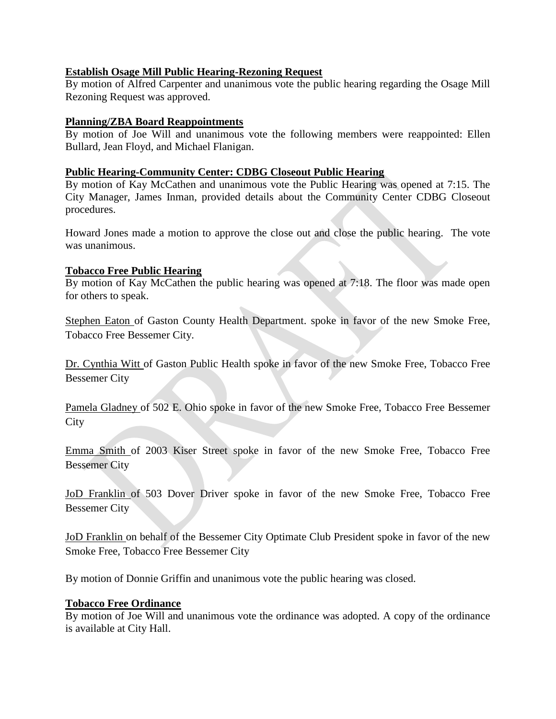### **Establish Osage Mill Public Hearing-Rezoning Request**

By motion of Alfred Carpenter and unanimous vote the public hearing regarding the Osage Mill Rezoning Request was approved.

## **Planning/ZBA Board Reappointments**

By motion of Joe Will and unanimous vote the following members were reappointed: Ellen Bullard, Jean Floyd, and Michael Flanigan.

## **Public Hearing-Community Center: CDBG Closeout Public Hearing**

By motion of Kay McCathen and unanimous vote the Public Hearing was opened at 7:15. The City Manager, James Inman, provided details about the Community Center CDBG Closeout procedures.

Howard Jones made a motion to approve the close out and close the public hearing. The vote was unanimous.

#### **Tobacco Free Public Hearing**

By motion of Kay McCathen the public hearing was opened at 7:18. The floor was made open for others to speak.

Stephen Eaton of Gaston County Health Department. spoke in favor of the new Smoke Free, Tobacco Free Bessemer City.

Dr. Cynthia Witt of Gaston Public Health spoke in favor of the new Smoke Free, Tobacco Free Bessemer City

Pamela Gladney of 502 E. Ohio spoke in favor of the new Smoke Free, Tobacco Free Bessemer **City** 

Emma Smith of 2003 Kiser Street spoke in favor of the new Smoke Free, Tobacco Free Bessemer City

JoD Franklin of 503 Dover Driver spoke in favor of the new Smoke Free, Tobacco Free Bessemer City

JoD Franklin on behalf of the Bessemer City Optimate Club President spoke in favor of the new Smoke Free, Tobacco Free Bessemer City

By motion of Donnie Griffin and unanimous vote the public hearing was closed.

#### **Tobacco Free Ordinance**

By motion of Joe Will and unanimous vote the ordinance was adopted. A copy of the ordinance is available at City Hall.